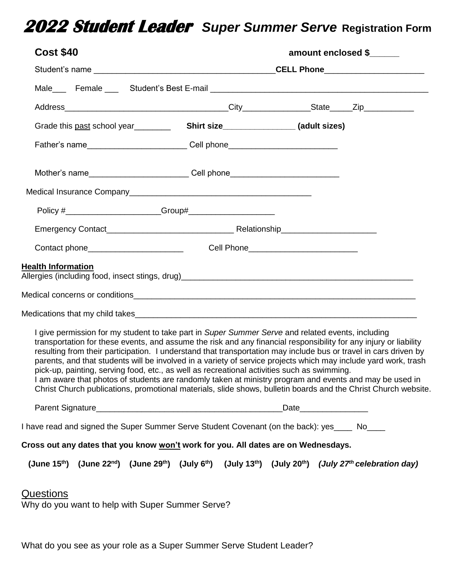## **2022 Student Leader** *Super Summer Serve* **Registration Form**

| <b>Cost \$40</b>                                                                                                                                                                                                                                                                                                                                                                                                                                                                                                                                                                                                                                                                                                                                                                          | amount enclosed \$ |  |  |
|-------------------------------------------------------------------------------------------------------------------------------------------------------------------------------------------------------------------------------------------------------------------------------------------------------------------------------------------------------------------------------------------------------------------------------------------------------------------------------------------------------------------------------------------------------------------------------------------------------------------------------------------------------------------------------------------------------------------------------------------------------------------------------------------|--------------------|--|--|
|                                                                                                                                                                                                                                                                                                                                                                                                                                                                                                                                                                                                                                                                                                                                                                                           |                    |  |  |
|                                                                                                                                                                                                                                                                                                                                                                                                                                                                                                                                                                                                                                                                                                                                                                                           |                    |  |  |
|                                                                                                                                                                                                                                                                                                                                                                                                                                                                                                                                                                                                                                                                                                                                                                                           |                    |  |  |
|                                                                                                                                                                                                                                                                                                                                                                                                                                                                                                                                                                                                                                                                                                                                                                                           |                    |  |  |
|                                                                                                                                                                                                                                                                                                                                                                                                                                                                                                                                                                                                                                                                                                                                                                                           |                    |  |  |
| Mother's name_______________________________Cell phone__________________________                                                                                                                                                                                                                                                                                                                                                                                                                                                                                                                                                                                                                                                                                                          |                    |  |  |
|                                                                                                                                                                                                                                                                                                                                                                                                                                                                                                                                                                                                                                                                                                                                                                                           |                    |  |  |
|                                                                                                                                                                                                                                                                                                                                                                                                                                                                                                                                                                                                                                                                                                                                                                                           |                    |  |  |
|                                                                                                                                                                                                                                                                                                                                                                                                                                                                                                                                                                                                                                                                                                                                                                                           |                    |  |  |
|                                                                                                                                                                                                                                                                                                                                                                                                                                                                                                                                                                                                                                                                                                                                                                                           |                    |  |  |
| <b>Health Information</b>                                                                                                                                                                                                                                                                                                                                                                                                                                                                                                                                                                                                                                                                                                                                                                 |                    |  |  |
| I give permission for my student to take part in Super Summer Serve and related events, including<br>transportation for these events, and assume the risk and any financial responsibility for any injury or liability<br>resulting from their participation. I understand that transportation may include bus or travel in cars driven by<br>parents, and that students will be involved in a variety of service projects which may include yard work, trash<br>pick-up, painting, serving food, etc., as well as recreational activities such as swimming.<br>I am aware that photos of students are randomly taken at ministry program and events and may be used in<br>Christ Church publications, promotional materials, slide shows, bulletin boards and the Christ Church website. |                    |  |  |
|                                                                                                                                                                                                                                                                                                                                                                                                                                                                                                                                                                                                                                                                                                                                                                                           |                    |  |  |
| I have read and signed the Super Summer Serve Student Covenant (on the back): yes____ No____                                                                                                                                                                                                                                                                                                                                                                                                                                                                                                                                                                                                                                                                                              |                    |  |  |
| Cross out any dates that you know won't work for you. All dates are on Wednesdays.                                                                                                                                                                                                                                                                                                                                                                                                                                                                                                                                                                                                                                                                                                        |                    |  |  |
| (June 15 <sup>th</sup> ) (June 22 <sup>nd</sup> ) (June 29 <sup>th</sup> ) (July 6 <sup>th</sup> ) (July 13 <sup>th</sup> ) (July 20 <sup>th</sup> ) ( <i>July 27<sup>th</sup> celebration day</i> )                                                                                                                                                                                                                                                                                                                                                                                                                                                                                                                                                                                      |                    |  |  |
| <u>Questions</u><br>Why do you want to help with Super Summer Serve?                                                                                                                                                                                                                                                                                                                                                                                                                                                                                                                                                                                                                                                                                                                      |                    |  |  |

What do you see as your role as a Super Summer Serve Student Leader?